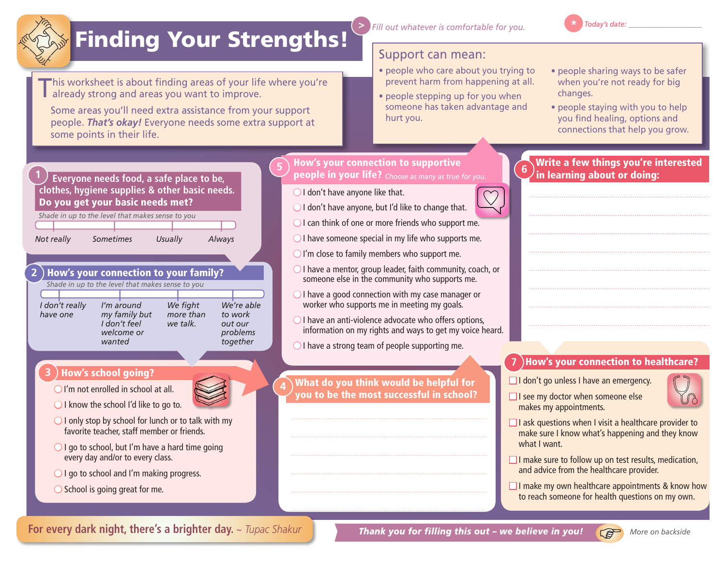

## Finding Your Strengths!

This worksheet is about finding areas of your life where you're already strong and areas you want to improve. already strong and areas you want to improve. **2. STRENGTH**<br>
is worksheet is ab<br>
lready strong and<br>
ome areas you'll n

Some areas you'll need extra assistance from your support people. **That's okay!** Everyone needs some extra support at some points in their life. e you re<br>port<br>prt at W<br>
his worksheet is a<br>
already strong an<br>
Some areas you'll<br>
people. That's oka<br>
some points in the

 **Everyone needs food, a safe place to be, clothes, hygiene supplies & other basic needs.**  Do you get your basic needs met? leeds.<br>**STRENGTH**<br>Al*ways* 

 | | | | *Shade in up to the level that makes sense to you* **4.**

*I don't really have one*

*Not really* Sometimes Usually

ou<br>Always Always

**4**

## How's your connection to your family? **2** *Shade in up to the level that makes sense to you*

*I'm around* 

*I don't feel welcome or wanted*

*We're able to work out our problems together* | | | | *We fight more than we talk. my family but* 

## How's school going? **3**

 $\bigcirc$  I'm not enrolled in school at all.

- $\bigcirc$  I know the school I'd like to go to.
- $\bigcirc$  I only stop by school for lunch or to talk with my favorite teacher, staff member or friends.
- $\bigcirc$  I go to school, but I'm have a hard time going every day and/or to every class.
- $\bigcirc$  I go to school and I'm making progress.
- $\bigcirc$  School is going great for me.

• people who care about you trying to prevent harm from happening at all.

Support can mean:

• people stepping up for you when someone has taken advantage and hurt you.

*Fill out whatever is comfortable for you.*

- people sharing ways to be safer when you're not ready for big changes.
- people staying with you to help you find healing, options and connections that help you grow.

Write a few things you're interested

in learning about or doing:

upport<br>
port at<br> **Figure 1 CONFIDENTIFY AND CONFINENT PROPERTY.**<br> **Figure 1** *IN**CONFINE* **SUPPORTIVE 1 Everyone needs food, a safe place to be a community of the set of the people in your life?**  $\epsilon_{\text{choose as many as true for you.}}$ **5**

 $\bigcirc$  I don't have anyone like that.

**>**

- $\bigcirc$  I don't have anyone, but I'd like to change that.
- $\bigcirc$  I can think of one or more friends who support me.
- $\bigcirc$  I have someone special in my life who supports me.
- $\bigcirc$  I'm close to family members who support me.
- $\bigcirc$  I have a mentor, group leader, faith community, coach, or someone else in the community who supports me.
- $\bigcirc$  I have a good connection with my case manager or worker who supports me in meeting my goals.
- $\bigcirc$  I have an anti-violence advocate who offers options, information on my rights and ways to get my voice heard.

 $\bigcirc$  I have a strong team of people supporting me.

What do you think would be helpful for you to be the most successful in school?

## How's your connection to healthcare? **7**

 $\Box$  I don't go unless I have an emergency.

- $\Box$  I see my doctor when someone else makes my appointments.
- $\Box$  I ask questions when I visit a healthcare provider to make sure I know what's happening and they know what I want.
- $\Box$  I make sure to follow up on test results, medication, and advice from the healthcare provider.
- $\Box$  I make my own healthcare appointments & know how to reach someone for health questions on my own.

**For every dark night, there's a brighter day.** *~ Tupac Shakur*